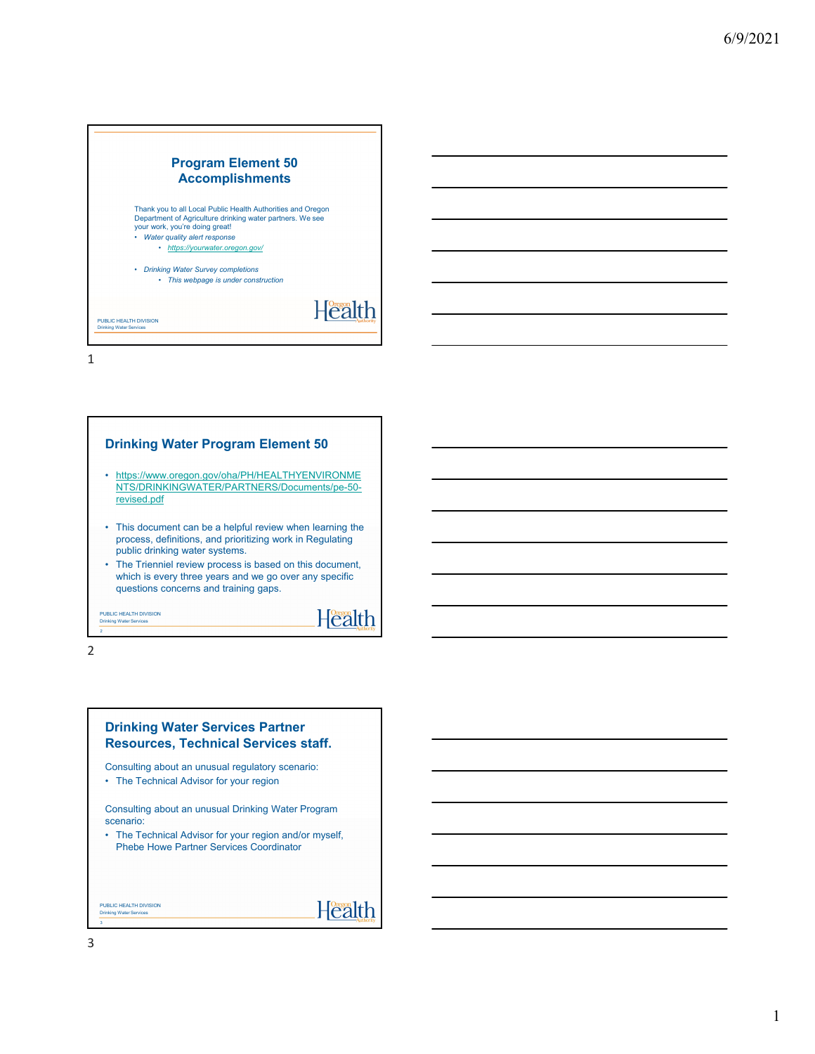

1



2

## **Drinking Water Services Partner Resources, Technical Services staff.**

Consulting about an unusual regulatory scenario:

• The Technical Advisor for your region

Consulting about an unusual Drinking Water Program scenario:

• The Technical Advisor for your region and/or myself, Phebe Howe Partner Services Coordinator

Health

PUBLIC HEALTH DIVISION Drinking Water Ser

3